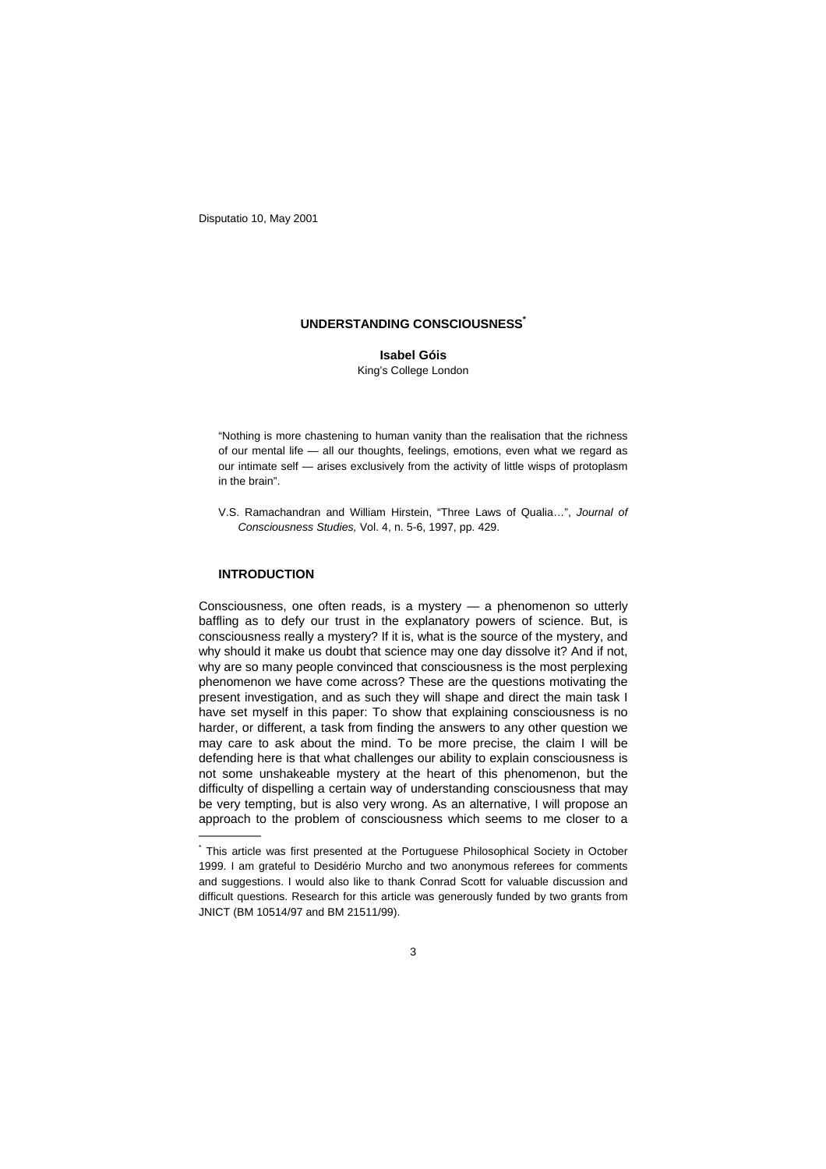Disputatio 10, May 2001

## **UNDERSTANDING CONSCIOUSNESS\***

**Isabel Góis** King's College London

"Nothing is more chastening to human vanity than the realisation that the richness of our mental life — all our thoughts, feelings, emotions, even what we regard as our intimate self — arises exclusively from the activity of little wisps of protoplasm in the brain".

V.S. Ramachandran and William Hirstein, "Three Laws of Qualia…", *Journal of Consciousness Studies,* Vol. 4, n. 5-6, 1997, pp. 429.

# **INTRODUCTION**

—————

Consciousness, one often reads, is a mystery — a phenomenon so utterly baffling as to defy our trust in the explanatory powers of science. But, is consciousness really a mystery? If it is, what is the source of the mystery, and why should it make us doubt that science may one day dissolve it? And if not, why are so many people convinced that consciousness is the most perplexing phenomenon we have come across? These are the questions motivating the present investigation, and as such they will shape and direct the main task I have set myself in this paper: To show that explaining consciousness is no harder, or different, a task from finding the answers to any other question we may care to ask about the mind. To be more precise, the claim I will be defending here is that what challenges our ability to explain consciousness is not some unshakeable mystery at the heart of this phenomenon, but the difficulty of dispelling a certain way of understanding consciousness that may be very tempting, but is also very wrong. As an alternative, I will propose an approach to the problem of consciousness which seems to me closer to a

<sup>\*</sup> This article was first presented at the Portuguese Philosophical Society in October 1999. I am grateful to Desidério Murcho and two anonymous referees for comments and suggestions. I would also like to thank Conrad Scott for valuable discussion and difficult questions. Research for this article was generously funded by two grants from JNICT (BM 10514/97 and BM 21511/99).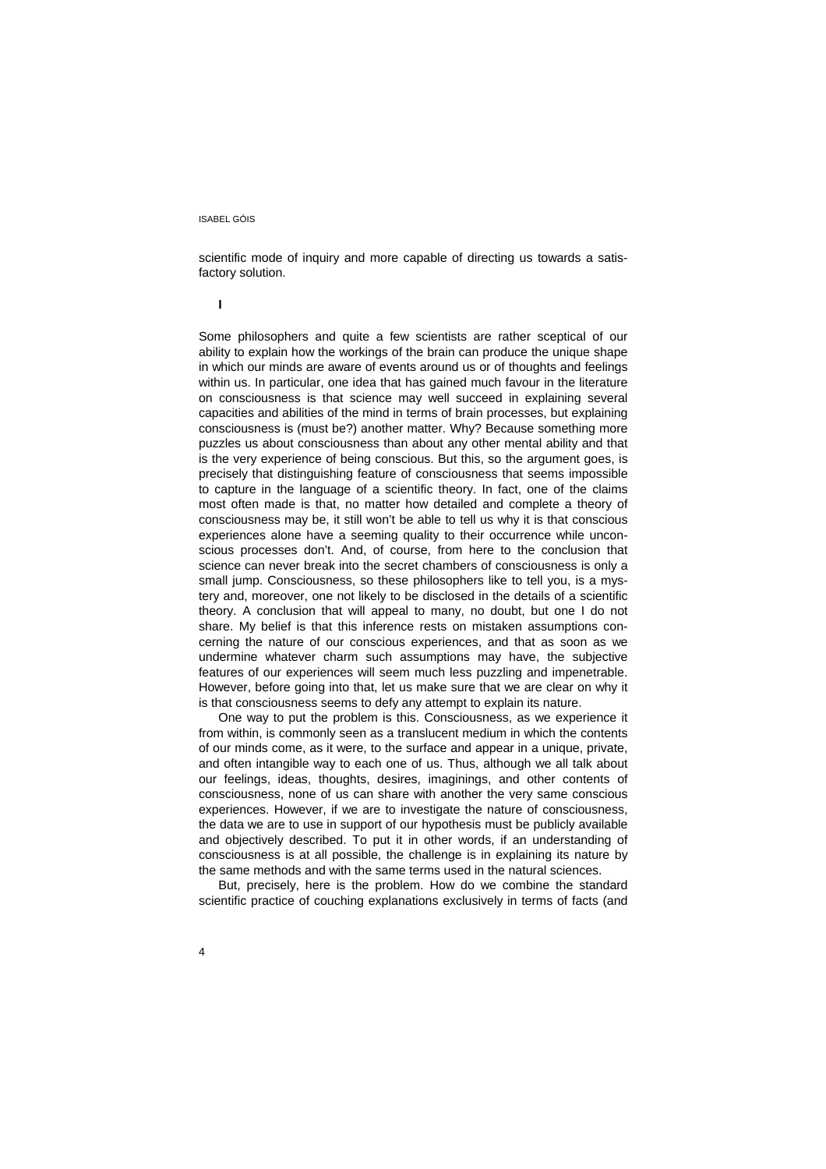scientific mode of inquiry and more capable of directing us towards a satisfactory solution.

**I**

Some philosophers and quite a few scientists are rather sceptical of our ability to explain how the workings of the brain can produce the unique shape in which our minds are aware of events around us or of thoughts and feelings within us. In particular, one idea that has gained much favour in the literature on consciousness is that science may well succeed in explaining several capacities and abilities of the mind in terms of brain processes, but explaining consciousness is (must be?) another matter. Why? Because something more puzzles us about consciousness than about any other mental ability and that is the very experience of being conscious. But this, so the argument goes, is precisely that distinguishing feature of consciousness that seems impossible to capture in the language of a scientific theory. In fact, one of the claims most often made is that, no matter how detailed and complete a theory of consciousness may be, it still won't be able to tell us why it is that conscious experiences alone have a seeming quality to their occurrence while unconscious processes don't. And, of course, from here to the conclusion that science can never break into the secret chambers of consciousness is only a small jump. Consciousness, so these philosophers like to tell you, is a mystery and, moreover, one not likely to be disclosed in the details of a scientific theory. A conclusion that will appeal to many, no doubt, but one I do not share. My belief is that this inference rests on mistaken assumptions concerning the nature of our conscious experiences, and that as soon as we undermine whatever charm such assumptions may have, the subjective features of our experiences will seem much less puzzling and impenetrable. However, before going into that, let us make sure that we are clear on why it is that consciousness seems to defy any attempt to explain its nature.

One way to put the problem is this. Consciousness, as we experience it from within, is commonly seen as a translucent medium in which the contents of our minds come, as it were, to the surface and appear in a unique, private, and often intangible way to each one of us. Thus, although we all talk about our feelings, ideas, thoughts, desires, imaginings, and other contents of consciousness, none of us can share with another the very same conscious experiences. However, if we are to investigate the nature of consciousness, the data we are to use in support of our hypothesis must be publicly available and objectively described. To put it in other words, if an understanding of consciousness is at all possible, the challenge is in explaining its nature by the same methods and with the same terms used in the natural sciences.

But, precisely, here is the problem. How do we combine the standard scientific practice of couching explanations exclusively in terms of facts (and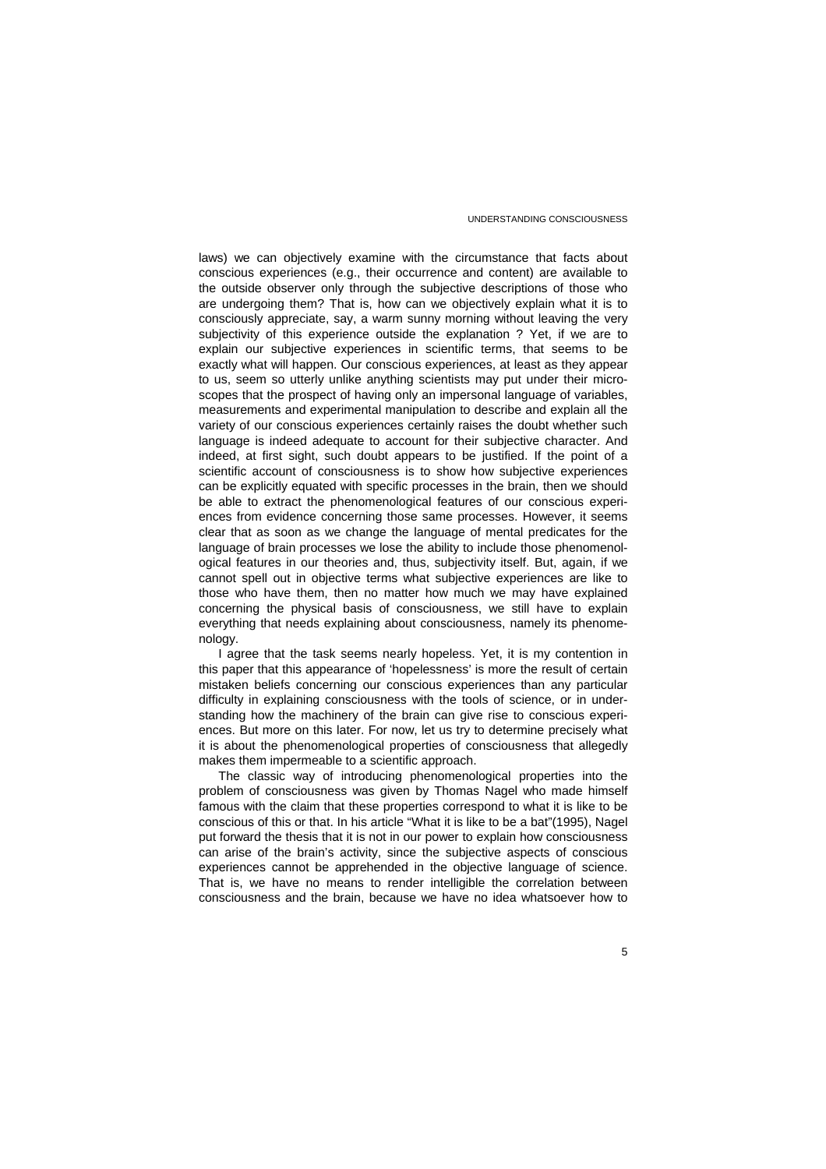laws) we can objectively examine with the circumstance that facts about conscious experiences (e.g., their occurrence and content) are available to the outside observer only through the subjective descriptions of those who are undergoing them? That is, how can we objectively explain what it is to consciously appreciate, say, a warm sunny morning without leaving the very subjectivity of this experience outside the explanation ? Yet, if we are to explain our subjective experiences in scientific terms, that seems to be exactly what will happen. Our conscious experiences, at least as they appear to us, seem so utterly unlike anything scientists may put under their microscopes that the prospect of having only an impersonal language of variables, measurements and experimental manipulation to describe and explain all the variety of our conscious experiences certainly raises the doubt whether such language is indeed adequate to account for their subjective character. And indeed, at first sight, such doubt appears to be justified. If the point of a scientific account of consciousness is to show how subjective experiences can be explicitly equated with specific processes in the brain, then we should be able to extract the phenomenological features of our conscious experiences from evidence concerning those same processes. However, it seems clear that as soon as we change the language of mental predicates for the language of brain processes we lose the ability to include those phenomenological features in our theories and, thus, subjectivity itself. But, again, if we cannot spell out in objective terms what subjective experiences are like to those who have them, then no matter how much we may have explained concerning the physical basis of consciousness, we still have to explain everything that needs explaining about consciousness, namely its phenomenology.

I agree that the task seems nearly hopeless. Yet, it is my contention in this paper that this appearance of 'hopelessness' is more the result of certain mistaken beliefs concerning our conscious experiences than any particular difficulty in explaining consciousness with the tools of science, or in understanding how the machinery of the brain can give rise to conscious experiences. But more on this later. For now, let us try to determine precisely what it is about the phenomenological properties of consciousness that allegedly makes them impermeable to a scientific approach.

The classic way of introducing phenomenological properties into the problem of consciousness was given by Thomas Nagel who made himself famous with the claim that these properties correspond to what it is like to be conscious of this or that. In his article "What it is like to be a bat"(1995), Nagel put forward the thesis that it is not in our power to explain how consciousness can arise of the brain's activity, since the subjective aspects of conscious experiences cannot be apprehended in the objective language of science. That is, we have no means to render intelligible the correlation between consciousness and the brain, because we have no idea whatsoever how to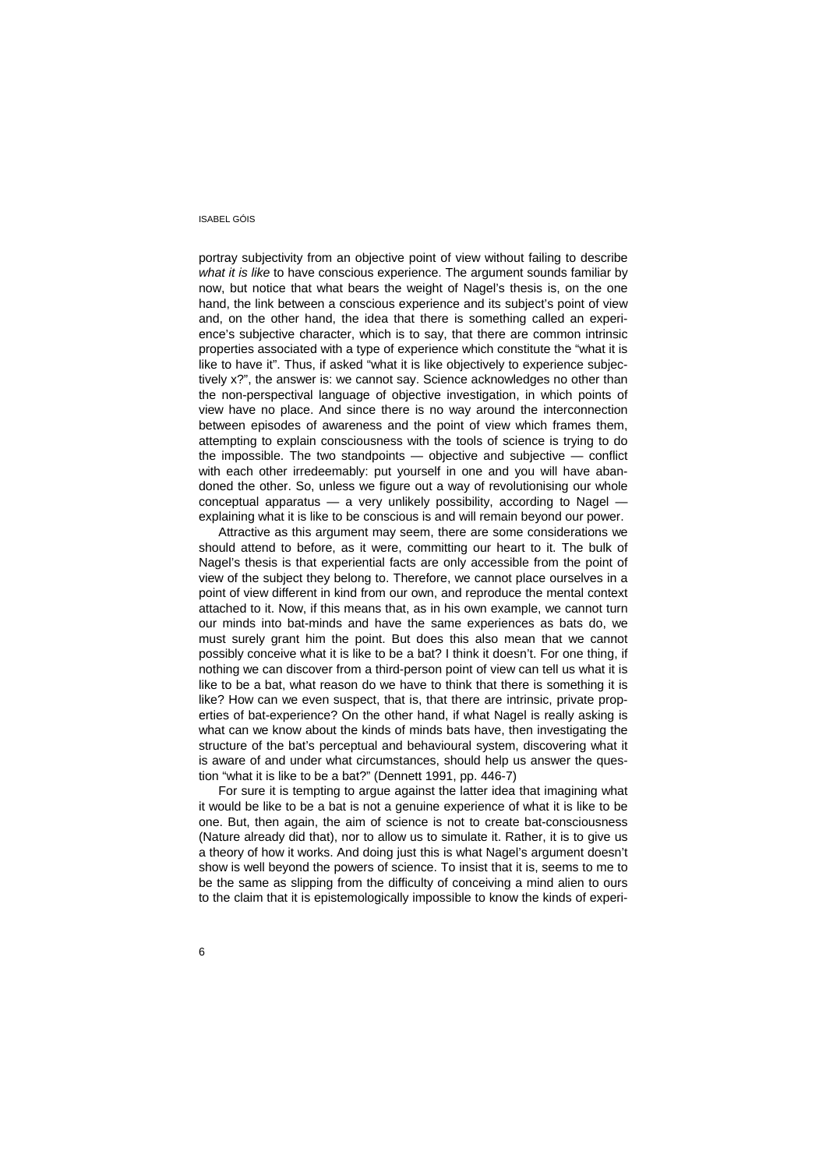portray subjectivity from an objective point of view without failing to describe *what it is like* to have conscious experience. The argument sounds familiar by now, but notice that what bears the weight of Nagel's thesis is, on the one hand, the link between a conscious experience and its subject's point of view and, on the other hand, the idea that there is something called an experience's subjective character, which is to say, that there are common intrinsic properties associated with a type of experience which constitute the "what it is like to have it". Thus, if asked "what it is like objectively to experience subjectively x?", the answer is: we cannot say. Science acknowledges no other than the non-perspectival language of objective investigation, in which points of view have no place. And since there is no way around the interconnection between episodes of awareness and the point of view which frames them, attempting to explain consciousness with the tools of science is trying to do the impossible. The two standpoints — objective and subjective — conflict with each other irredeemably: put yourself in one and you will have abandoned the other. So, unless we figure out a way of revolutionising our whole conceptual apparatus — a very unlikely possibility, according to Nagel explaining what it is like to be conscious is and will remain beyond our power.

Attractive as this argument may seem, there are some considerations we should attend to before, as it were, committing our heart to it. The bulk of Nagel's thesis is that experiential facts are only accessible from the point of view of the subject they belong to. Therefore, we cannot place ourselves in a point of view different in kind from our own, and reproduce the mental context attached to it. Now, if this means that, as in his own example, we cannot turn our minds into bat-minds and have the same experiences as bats do, we must surely grant him the point. But does this also mean that we cannot possibly conceive what it is like to be a bat? I think it doesn't. For one thing, if nothing we can discover from a third-person point of view can tell us what it is like to be a bat, what reason do we have to think that there is something it is like? How can we even suspect, that is, that there are intrinsic, private properties of bat-experience? On the other hand, if what Nagel is really asking is what can we know about the kinds of minds bats have, then investigating the structure of the bat's perceptual and behavioural system, discovering what it is aware of and under what circumstances, should help us answer the question "what it is like to be a bat?" (Dennett 1991, pp. 446-7)

For sure it is tempting to argue against the latter idea that imagining what it would be like to be a bat is not a genuine experience of what it is like to be one. But, then again, the aim of science is not to create bat-consciousness (Nature already did that), nor to allow us to simulate it. Rather, it is to give us a theory of how it works. And doing just this is what Nagel's argument doesn't show is well beyond the powers of science. To insist that it is, seems to me to be the same as slipping from the difficulty of conceiving a mind alien to ours to the claim that it is epistemologically impossible to know the kinds of experi-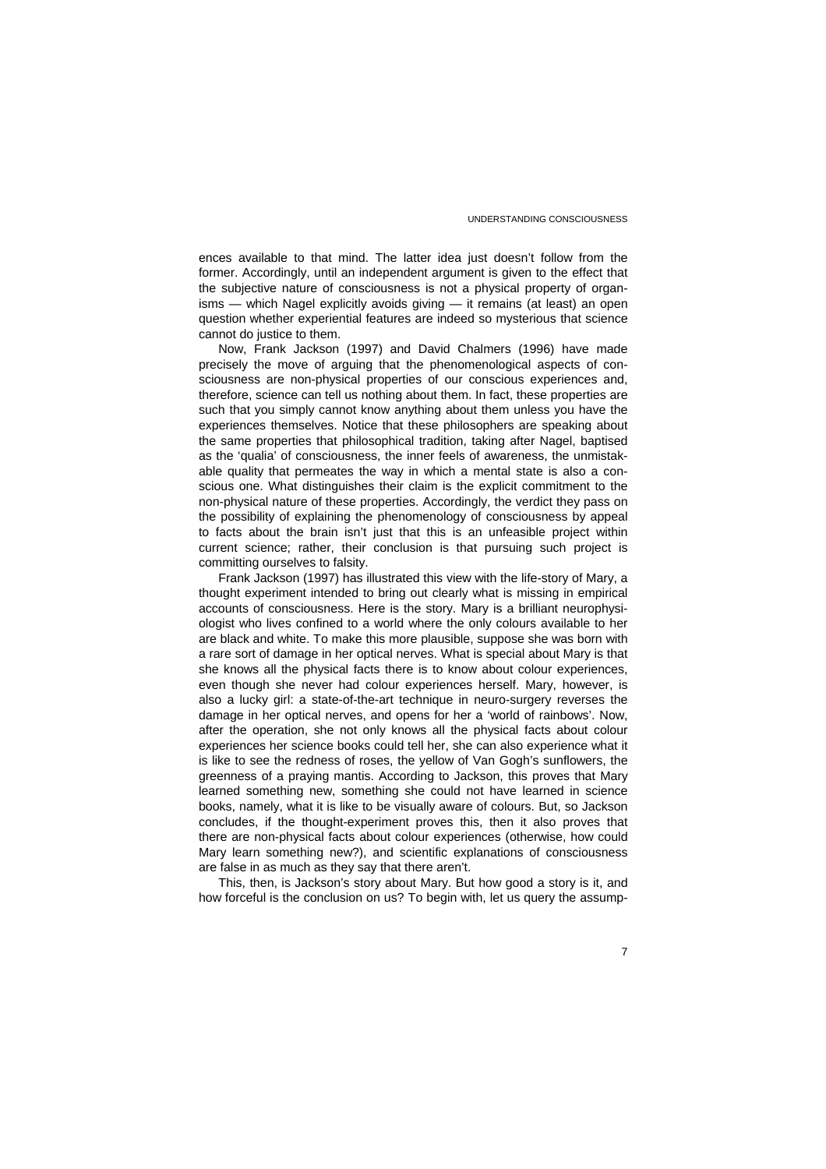ences available to that mind. The latter idea just doesn't follow from the former. Accordingly, until an independent argument is given to the effect that the subjective nature of consciousness is not a physical property of organisms — which Nagel explicitly avoids giving — it remains (at least) an open question whether experiential features are indeed so mysterious that science cannot do justice to them.

Now, Frank Jackson (1997) and David Chalmers (1996) have made precisely the move of arguing that the phenomenological aspects of consciousness are non-physical properties of our conscious experiences and, therefore, science can tell us nothing about them. In fact, these properties are such that you simply cannot know anything about them unless you have the experiences themselves. Notice that these philosophers are speaking about the same properties that philosophical tradition, taking after Nagel, baptised as the 'qualia' of consciousness, the inner feels of awareness, the unmistakable quality that permeates the way in which a mental state is also a conscious one. What distinguishes their claim is the explicit commitment to the non-physical nature of these properties. Accordingly, the verdict they pass on the possibility of explaining the phenomenology of consciousness by appeal to facts about the brain isn't just that this is an unfeasible project within current science; rather, their conclusion is that pursuing such project is committing ourselves to falsity.

Frank Jackson (1997) has illustrated this view with the life-story of Mary, a thought experiment intended to bring out clearly what is missing in empirical accounts of consciousness. Here is the story. Mary is a brilliant neurophysiologist who lives confined to a world where the only colours available to her are black and white. To make this more plausible, suppose she was born with a rare sort of damage in her optical nerves. What is special about Mary is that she knows all the physical facts there is to know about colour experiences, even though she never had colour experiences herself. Mary, however, is also a lucky girl: a state-of-the-art technique in neuro-surgery reverses the damage in her optical nerves, and opens for her a 'world of rainbows'. Now, after the operation, she not only knows all the physical facts about colour experiences her science books could tell her, she can also experience what it is like to see the redness of roses, the yellow of Van Gogh's sunflowers, the greenness of a praying mantis. According to Jackson, this proves that Mary learned something new, something she could not have learned in science books, namely, what it is like to be visually aware of colours. But, so Jackson concludes, if the thought-experiment proves this, then it also proves that there are non-physical facts about colour experiences (otherwise, how could Mary learn something new?), and scientific explanations of consciousness are false in as much as they say that there aren't.

This, then, is Jackson's story about Mary. But how good a story is it, and how forceful is the conclusion on us? To begin with, let us query the assump-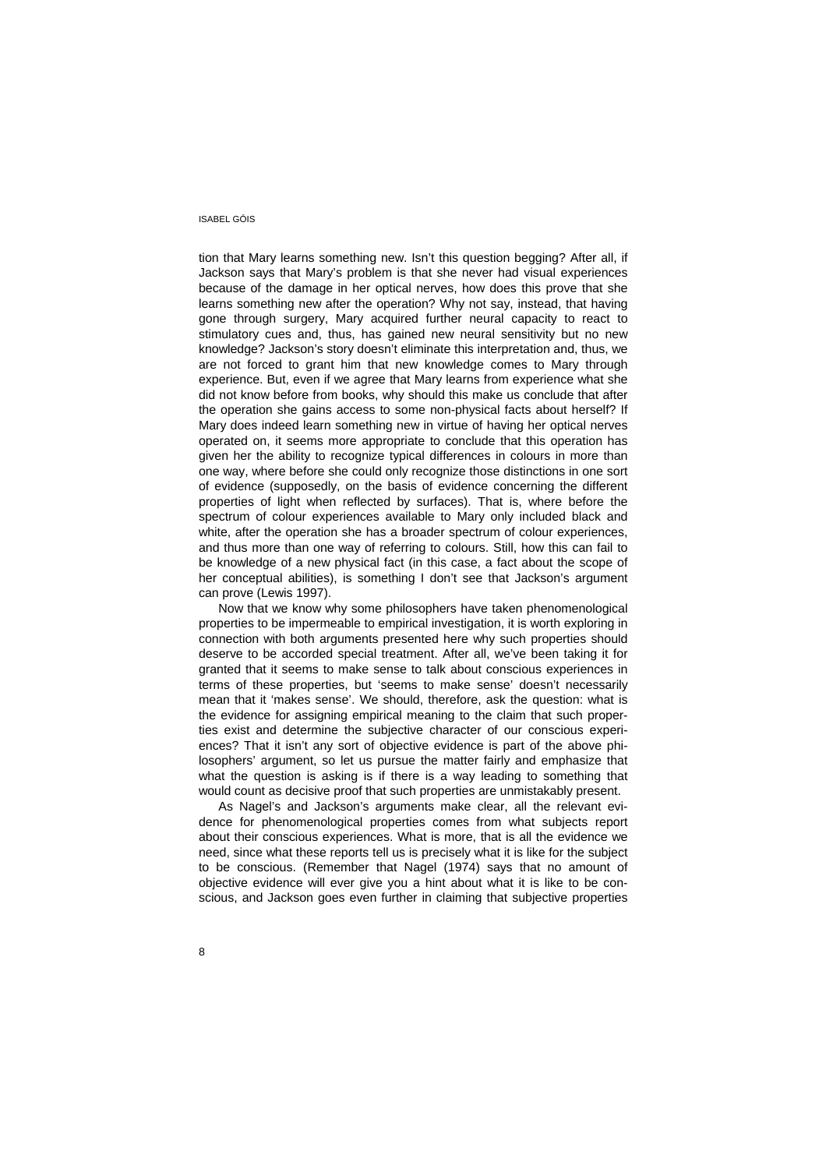tion that Mary learns something new. Isn't this question begging? After all, if Jackson says that Mary's problem is that she never had visual experiences because of the damage in her optical nerves, how does this prove that she learns something new after the operation? Why not say, instead, that having gone through surgery, Mary acquired further neural capacity to react to stimulatory cues and, thus, has gained new neural sensitivity but no new knowledge? Jackson's story doesn't eliminate this interpretation and, thus, we are not forced to grant him that new knowledge comes to Mary through experience. But, even if we agree that Mary learns from experience what she did not know before from books, why should this make us conclude that after the operation she gains access to some non-physical facts about herself? If Mary does indeed learn something new in virtue of having her optical nerves operated on, it seems more appropriate to conclude that this operation has given her the ability to recognize typical differences in colours in more than one way, where before she could only recognize those distinctions in one sort of evidence (supposedly, on the basis of evidence concerning the different properties of light when reflected by surfaces). That is, where before the spectrum of colour experiences available to Mary only included black and white, after the operation she has a broader spectrum of colour experiences, and thus more than one way of referring to colours. Still, how this can fail to be knowledge of a new physical fact (in this case, a fact about the scope of her conceptual abilities), is something I don't see that Jackson's argument can prove (Lewis 1997).

Now that we know why some philosophers have taken phenomenological properties to be impermeable to empirical investigation, it is worth exploring in connection with both arguments presented here why such properties should deserve to be accorded special treatment. After all, we've been taking it for granted that it seems to make sense to talk about conscious experiences in terms of these properties, but 'seems to make sense' doesn't necessarily mean that it 'makes sense'. We should, therefore, ask the question: what is the evidence for assigning empirical meaning to the claim that such properties exist and determine the subjective character of our conscious experiences? That it isn't any sort of objective evidence is part of the above philosophers' argument, so let us pursue the matter fairly and emphasize that what the question is asking is if there is a way leading to something that would count as decisive proof that such properties are unmistakably present.

As Nagel's and Jackson's arguments make clear, all the relevant evidence for phenomenological properties comes from what subjects report about their conscious experiences. What is more, that is all the evidence we need, since what these reports tell us is precisely what it is like for the subject to be conscious. (Remember that Nagel (1974) says that no amount of objective evidence will ever give you a hint about what it is like to be conscious, and Jackson goes even further in claiming that subjective properties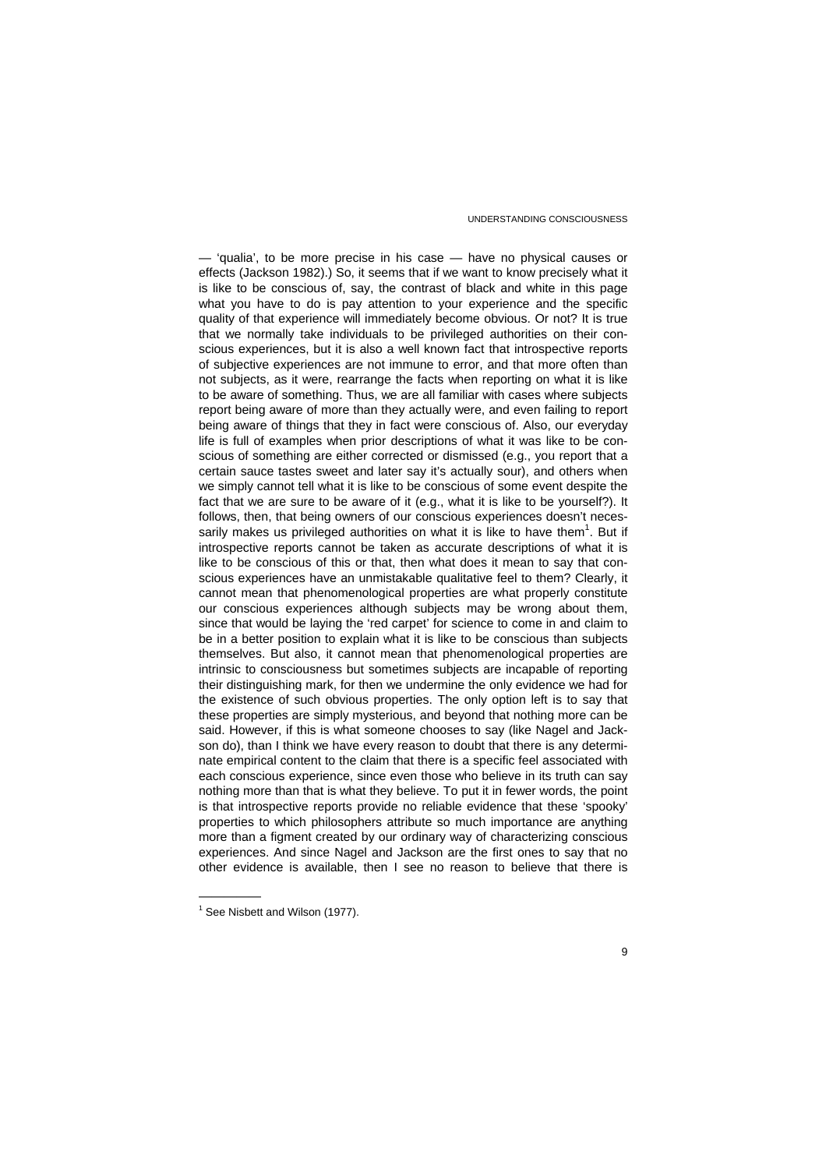— 'qualia', to be more precise in his case — have no physical causes or effects (Jackson 1982).) So, it seems that if we want to know precisely what it is like to be conscious of, say, the contrast of black and white in this page what you have to do is pay attention to your experience and the specific quality of that experience will immediately become obvious. Or not? It is true that we normally take individuals to be privileged authorities on their conscious experiences, but it is also a well known fact that introspective reports of subjective experiences are not immune to error, and that more often than not subjects, as it were, rearrange the facts when reporting on what it is like to be aware of something. Thus, we are all familiar with cases where subjects report being aware of more than they actually were, and even failing to report being aware of things that they in fact were conscious of. Also, our everyday life is full of examples when prior descriptions of what it was like to be conscious of something are either corrected or dismissed (e.g., you report that a certain sauce tastes sweet and later say it's actually sour), and others when we simply cannot tell what it is like to be conscious of some event despite the fact that we are sure to be aware of it (e.g., what it is like to be yourself?). It follows, then, that being owners of our conscious experiences doesn't necessarily makes us privileged authorities on what it is like to have them $<sup>1</sup>$ . But if</sup> introspective reports cannot be taken as accurate descriptions of what it is like to be conscious of this or that, then what does it mean to say that conscious experiences have an unmistakable qualitative feel to them? Clearly, it cannot mean that phenomenological properties are what properly constitute our conscious experiences although subjects may be wrong about them, since that would be laying the 'red carpet' for science to come in and claim to be in a better position to explain what it is like to be conscious than subjects themselves. But also, it cannot mean that phenomenological properties are intrinsic to consciousness but sometimes subjects are incapable of reporting their distinguishing mark, for then we undermine the only evidence we had for the existence of such obvious properties. The only option left is to say that these properties are simply mysterious, and beyond that nothing more can be said. However, if this is what someone chooses to say (like Nagel and Jackson do), than I think we have every reason to doubt that there is any determinate empirical content to the claim that there is a specific feel associated with each conscious experience, since even those who believe in its truth can say nothing more than that is what they believe. To put it in fewer words, the point is that introspective reports provide no reliable evidence that these 'spooky' properties to which philosophers attribute so much importance are anything more than a figment created by our ordinary way of characterizing conscious experiences. And since Nagel and Jackson are the first ones to say that no other evidence is available, then I see no reason to believe that there is

—————

<sup>&</sup>lt;sup>1</sup> See Nisbett and Wilson (1977).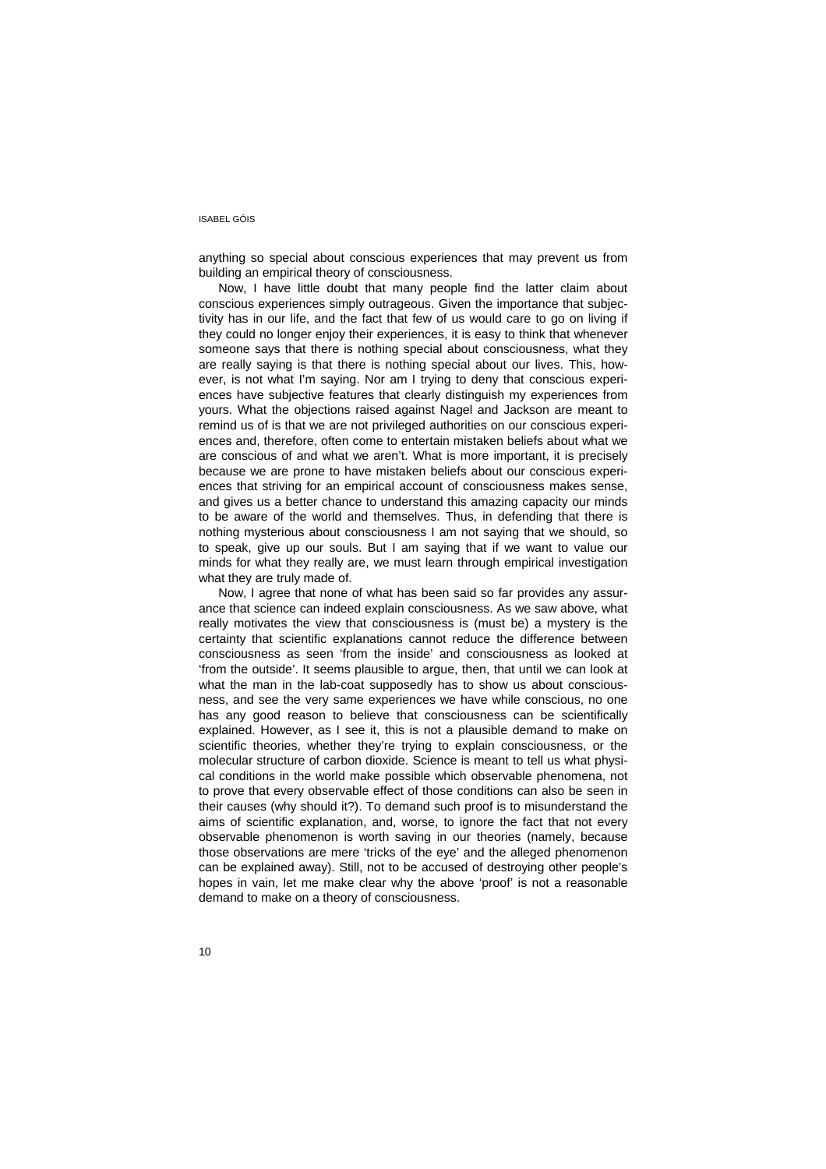anything so special about conscious experiences that may prevent us from building an empirical theory of consciousness.

Now, I have little doubt that many people find the latter claim about conscious experiences simply outrageous. Given the importance that subjectivity has in our life, and the fact that few of us would care to go on living if they could no longer enjoy their experiences, it is easy to think that whenever someone says that there is nothing special about consciousness, what they are really saying is that there is nothing special about our lives. This, however, is not what I'm saying. Nor am I trying to deny that conscious experiences have subjective features that clearly distinguish my experiences from yours. What the objections raised against Nagel and Jackson are meant to remind us of is that we are not privileged authorities on our conscious experiences and, therefore, often come to entertain mistaken beliefs about what we are conscious of and what we aren't. What is more important, it is precisely because we are prone to have mistaken beliefs about our conscious experiences that striving for an empirical account of consciousness makes sense, and gives us a better chance to understand this amazing capacity our minds to be aware of the world and themselves. Thus, in defending that there is nothing mysterious about consciousness I am not saying that we should, so to speak, give up our souls. But I am saying that if we want to value our minds for what they really are, we must learn through empirical investigation what they are truly made of.

Now, I agree that none of what has been said so far provides any assurance that science can indeed explain consciousness. As we saw above, what really motivates the view that consciousness is (must be) a mystery is the certainty that scientific explanations cannot reduce the difference between consciousness as seen 'from the inside' and consciousness as looked at 'from the outside'. It seems plausible to argue, then, that until we can look at what the man in the lab-coat supposedly has to show us about consciousness, and see the very same experiences we have while conscious, no one has any good reason to believe that consciousness can be scientifically explained. However, as I see it, this is not a plausible demand to make on scientific theories, whether they're trying to explain consciousness, or the molecular structure of carbon dioxide. Science is meant to tell us what physical conditions in the world make possible which observable phenomena, not to prove that every observable effect of those conditions can also be seen in their causes (why should it?). To demand such proof is to misunderstand the aims of scientific explanation, and, worse, to ignore the fact that not every observable phenomenon is worth saving in our theories (namely, because those observations are mere 'tricks of the eye' and the alleged phenomenon can be explained away). Still, not to be accused of destroying other people's hopes in vain, let me make clear why the above 'proof' is not a reasonable demand to make on a theory of consciousness.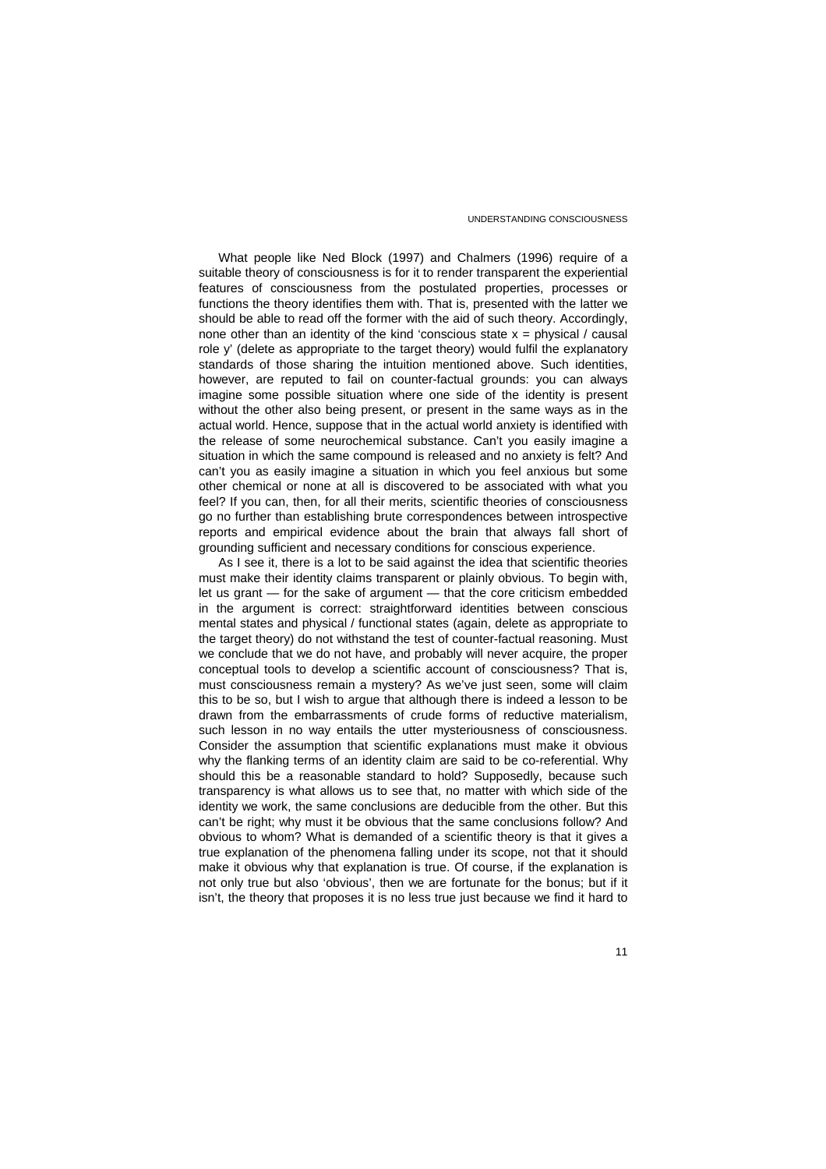What people like Ned Block (1997) and Chalmers (1996) require of a suitable theory of consciousness is for it to render transparent the experiential features of consciousness from the postulated properties, processes or functions the theory identifies them with. That is, presented with the latter we should be able to read off the former with the aid of such theory. Accordingly, none other than an identity of the kind 'conscious state  $x =$  physical / causal role y' (delete as appropriate to the target theory) would fulfil the explanatory standards of those sharing the intuition mentioned above. Such identities, however, are reputed to fail on counter-factual grounds: you can always imagine some possible situation where one side of the identity is present without the other also being present, or present in the same ways as in the actual world. Hence, suppose that in the actual world anxiety is identified with the release of some neurochemical substance. Can't you easily imagine a situation in which the same compound is released and no anxiety is felt? And can't you as easily imagine a situation in which you feel anxious but some other chemical or none at all is discovered to be associated with what you feel? If you can, then, for all their merits, scientific theories of consciousness go no further than establishing brute correspondences between introspective reports and empirical evidence about the brain that always fall short of grounding sufficient and necessary conditions for conscious experience.

As I see it, there is a lot to be said against the idea that scientific theories must make their identity claims transparent or plainly obvious. To begin with, let us grant — for the sake of argument — that the core criticism embedded in the argument is correct: straightforward identities between conscious mental states and physical / functional states (again, delete as appropriate to the target theory) do not withstand the test of counter-factual reasoning. Must we conclude that we do not have, and probably will never acquire, the proper conceptual tools to develop a scientific account of consciousness? That is, must consciousness remain a mystery? As we've just seen, some will claim this to be so, but I wish to argue that although there is indeed a lesson to be drawn from the embarrassments of crude forms of reductive materialism, such lesson in no way entails the utter mysteriousness of consciousness. Consider the assumption that scientific explanations must make it obvious why the flanking terms of an identity claim are said to be co-referential. Why should this be a reasonable standard to hold? Supposedly, because such transparency is what allows us to see that, no matter with which side of the identity we work, the same conclusions are deducible from the other. But this can't be right; why must it be obvious that the same conclusions follow? And obvious to whom? What is demanded of a scientific theory is that it gives a true explanation of the phenomena falling under its scope, not that it should make it obvious why that explanation is true. Of course, if the explanation is not only true but also 'obvious', then we are fortunate for the bonus; but if it isn't, the theory that proposes it is no less true just because we find it hard to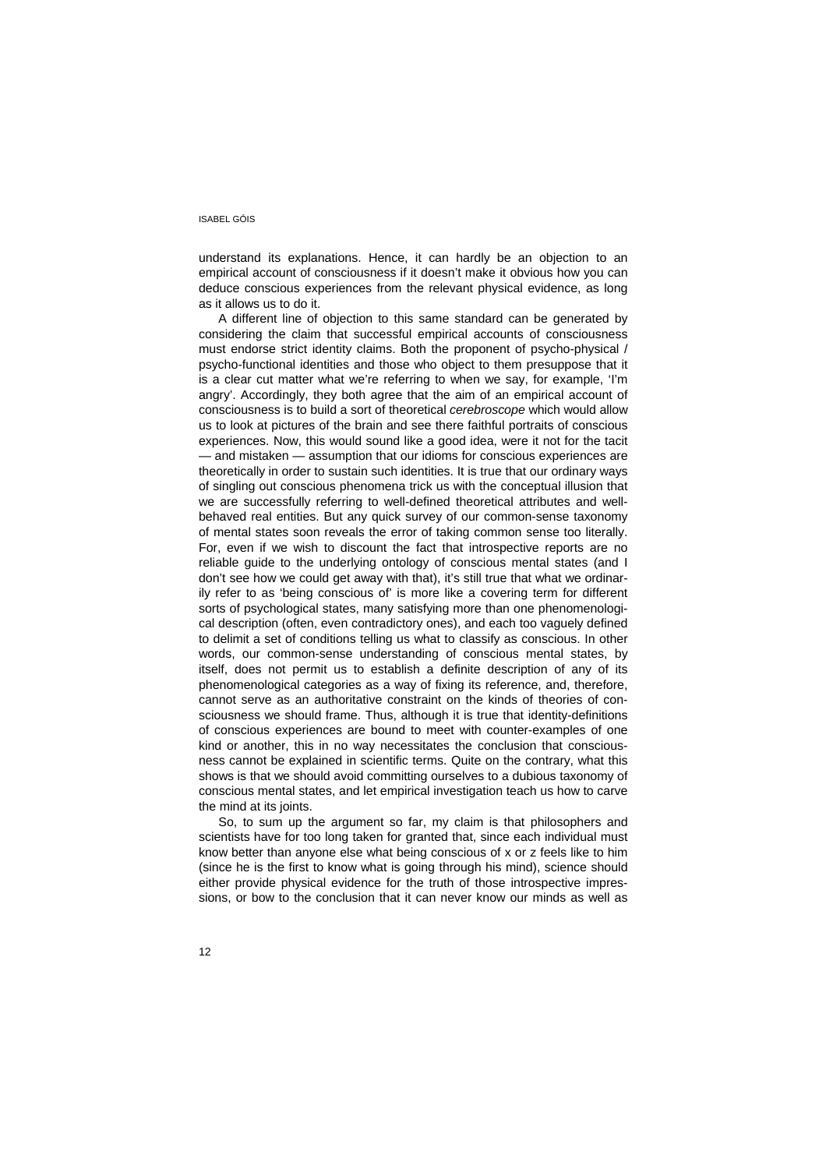understand its explanations. Hence, it can hardly be an objection to an empirical account of consciousness if it doesn't make it obvious how you can deduce conscious experiences from the relevant physical evidence, as long as it allows us to do it.

A different line of objection to this same standard can be generated by considering the claim that successful empirical accounts of consciousness must endorse strict identity claims. Both the proponent of psycho-physical / psycho-functional identities and those who object to them presuppose that it is a clear cut matter what we're referring to when we say, for example, 'I'm angry'. Accordingly, they both agree that the aim of an empirical account of consciousness is to build a sort of theoretical *cerebroscope* which would allow us to look at pictures of the brain and see there faithful portraits of conscious experiences. Now, this would sound like a good idea, were it not for the tacit — and mistaken — assumption that our idioms for conscious experiences are theoretically in order to sustain such identities. It is true that our ordinary ways of singling out conscious phenomena trick us with the conceptual illusion that we are successfully referring to well-defined theoretical attributes and wellbehaved real entities. But any quick survey of our common-sense taxonomy of mental states soon reveals the error of taking common sense too literally. For, even if we wish to discount the fact that introspective reports are no reliable guide to the underlying ontology of conscious mental states (and I don't see how we could get away with that), it's still true that what we ordinarily refer to as 'being conscious of' is more like a covering term for different sorts of psychological states, many satisfying more than one phenomenological description (often, even contradictory ones), and each too vaguely defined to delimit a set of conditions telling us what to classify as conscious. In other words, our common-sense understanding of conscious mental states, by itself, does not permit us to establish a definite description of any of its phenomenological categories as a way of fixing its reference, and, therefore, cannot serve as an authoritative constraint on the kinds of theories of consciousness we should frame. Thus, although it is true that identity-definitions of conscious experiences are bound to meet with counter-examples of one kind or another, this in no way necessitates the conclusion that consciousness cannot be explained in scientific terms. Quite on the contrary, what this shows is that we should avoid committing ourselves to a dubious taxonomy of conscious mental states, and let empirical investigation teach us how to carve the mind at its joints.

So, to sum up the argument so far, my claim is that philosophers and scientists have for too long taken for granted that, since each individual must know better than anyone else what being conscious of x or z feels like to him (since he is the first to know what is going through his mind), science should either provide physical evidence for the truth of those introspective impressions, or bow to the conclusion that it can never know our minds as well as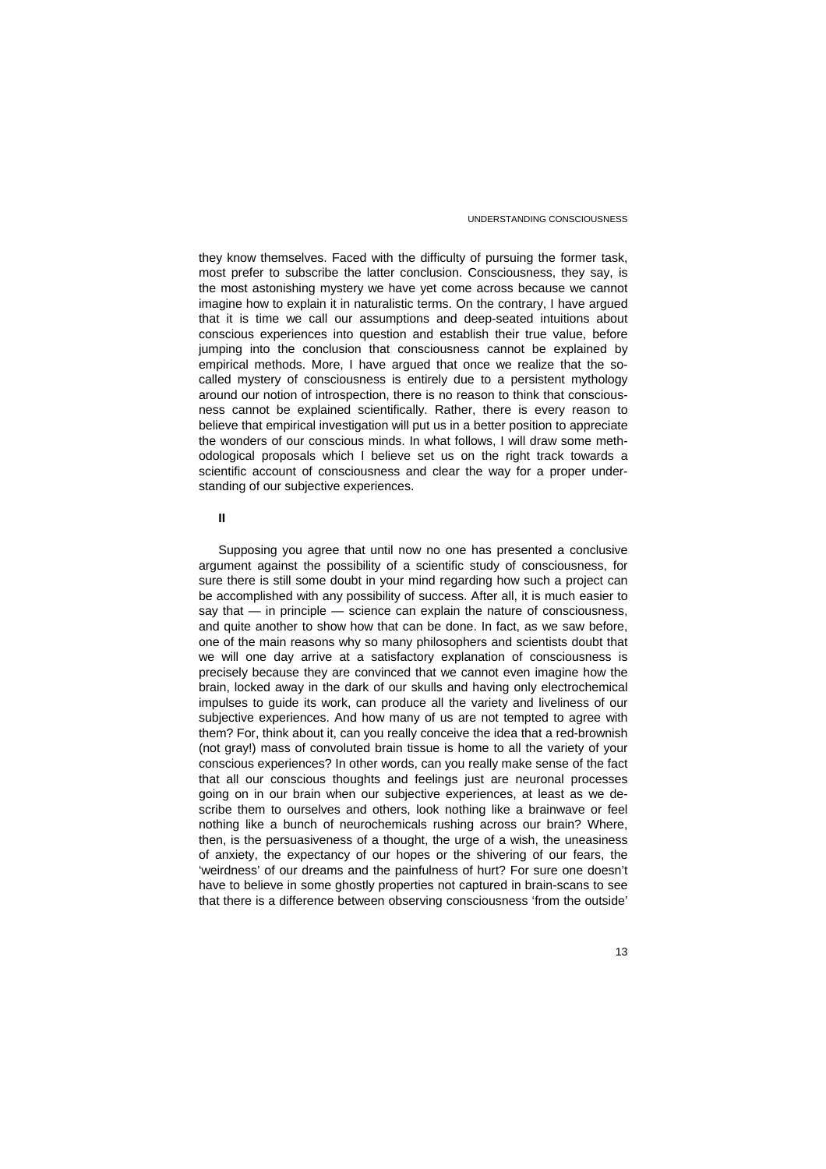they know themselves. Faced with the difficulty of pursuing the former task, most prefer to subscribe the latter conclusion. Consciousness, they say, is the most astonishing mystery we have yet come across because we cannot imagine how to explain it in naturalistic terms. On the contrary, I have argued that it is time we call our assumptions and deep-seated intuitions about conscious experiences into question and establish their true value, before jumping into the conclusion that consciousness cannot be explained by empirical methods. More, I have argued that once we realize that the socalled mystery of consciousness is entirely due to a persistent mythology around our notion of introspection, there is no reason to think that consciousness cannot be explained scientifically. Rather, there is every reason to believe that empirical investigation will put us in a better position to appreciate the wonders of our conscious minds. In what follows, I will draw some methodological proposals which I believe set us on the right track towards a scientific account of consciousness and clear the way for a proper understanding of our subjective experiences.

**II**

Supposing you agree that until now no one has presented a conclusive argument against the possibility of a scientific study of consciousness, for sure there is still some doubt in your mind regarding how such a project can be accomplished with any possibility of success. After all, it is much easier to say that — in principle — science can explain the nature of consciousness, and quite another to show how that can be done. In fact, as we saw before, one of the main reasons why so many philosophers and scientists doubt that we will one day arrive at a satisfactory explanation of consciousness is precisely because they are convinced that we cannot even imagine how the brain, locked away in the dark of our skulls and having only electrochemical impulses to guide its work, can produce all the variety and liveliness of our subjective experiences. And how many of us are not tempted to agree with them? For, think about it, can you really conceive the idea that a red-brownish (not gray!) mass of convoluted brain tissue is home to all the variety of your conscious experiences? In other words, can you really make sense of the fact that all our conscious thoughts and feelings just are neuronal processes going on in our brain when our subjective experiences, at least as we describe them to ourselves and others, look nothing like a brainwave or feel nothing like a bunch of neurochemicals rushing across our brain? Where, then, is the persuasiveness of a thought, the urge of a wish, the uneasiness of anxiety, the expectancy of our hopes or the shivering of our fears, the 'weirdness' of our dreams and the painfulness of hurt? For sure one doesn't have to believe in some ghostly properties not captured in brain-scans to see that there is a difference between observing consciousness 'from the outside'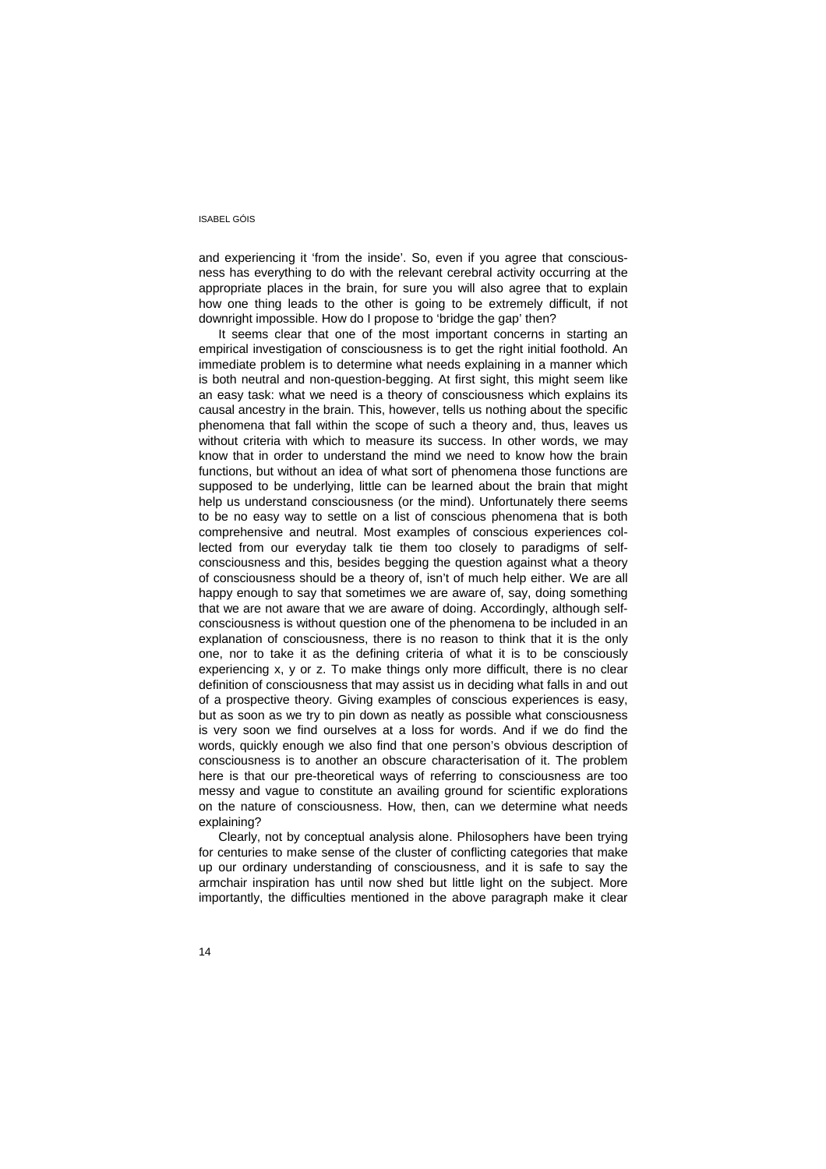and experiencing it 'from the inside'. So, even if you agree that consciousness has everything to do with the relevant cerebral activity occurring at the appropriate places in the brain, for sure you will also agree that to explain how one thing leads to the other is going to be extremely difficult, if not downright impossible. How do I propose to 'bridge the gap' then?

It seems clear that one of the most important concerns in starting an empirical investigation of consciousness is to get the right initial foothold. An immediate problem is to determine what needs explaining in a manner which is both neutral and non-question-begging. At first sight, this might seem like an easy task: what we need is a theory of consciousness which explains its causal ancestry in the brain. This, however, tells us nothing about the specific phenomena that fall within the scope of such a theory and, thus, leaves us without criteria with which to measure its success. In other words, we may know that in order to understand the mind we need to know how the brain functions, but without an idea of what sort of phenomena those functions are supposed to be underlying, little can be learned about the brain that might help us understand consciousness (or the mind). Unfortunately there seems to be no easy way to settle on a list of conscious phenomena that is both comprehensive and neutral. Most examples of conscious experiences collected from our everyday talk tie them too closely to paradigms of selfconsciousness and this, besides begging the question against what a theory of consciousness should be a theory of, isn't of much help either. We are all happy enough to say that sometimes we are aware of, say, doing something that we are not aware that we are aware of doing. Accordingly, although selfconsciousness is without question one of the phenomena to be included in an explanation of consciousness, there is no reason to think that it is the only one, nor to take it as the defining criteria of what it is to be consciously experiencing x, y or z. To make things only more difficult, there is no clear definition of consciousness that may assist us in deciding what falls in and out of a prospective theory. Giving examples of conscious experiences is easy, but as soon as we try to pin down as neatly as possible what consciousness is very soon we find ourselves at a loss for words. And if we do find the words, quickly enough we also find that one person's obvious description of consciousness is to another an obscure characterisation of it. The problem here is that our pre-theoretical ways of referring to consciousness are too messy and vague to constitute an availing ground for scientific explorations on the nature of consciousness. How, then, can we determine what needs explaining?

Clearly, not by conceptual analysis alone. Philosophers have been trying for centuries to make sense of the cluster of conflicting categories that make up our ordinary understanding of consciousness, and it is safe to say the armchair inspiration has until now shed but little light on the subject. More importantly, the difficulties mentioned in the above paragraph make it clear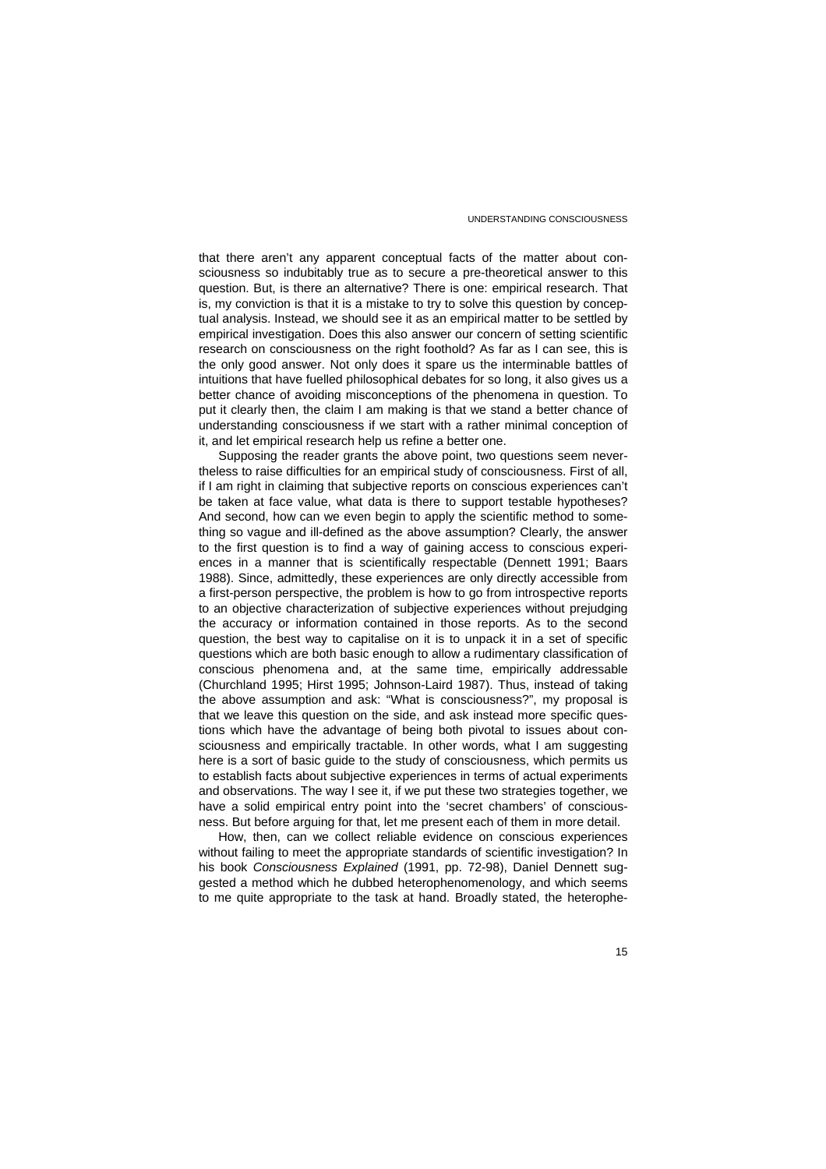that there aren't any apparent conceptual facts of the matter about consciousness so indubitably true as to secure a pre-theoretical answer to this question. But, is there an alternative? There is one: empirical research. That is, my conviction is that it is a mistake to try to solve this question by conceptual analysis. Instead, we should see it as an empirical matter to be settled by empirical investigation. Does this also answer our concern of setting scientific research on consciousness on the right foothold? As far as I can see, this is the only good answer. Not only does it spare us the interminable battles of intuitions that have fuelled philosophical debates for so long, it also gives us a better chance of avoiding misconceptions of the phenomena in question. To put it clearly then, the claim I am making is that we stand a better chance of understanding consciousness if we start with a rather minimal conception of it, and let empirical research help us refine a better one.

Supposing the reader grants the above point, two questions seem nevertheless to raise difficulties for an empirical study of consciousness. First of all, if I am right in claiming that subjective reports on conscious experiences can't be taken at face value, what data is there to support testable hypotheses? And second, how can we even begin to apply the scientific method to something so vague and ill-defined as the above assumption? Clearly, the answer to the first question is to find a way of gaining access to conscious experiences in a manner that is scientifically respectable (Dennett 1991; Baars 1988). Since, admittedly, these experiences are only directly accessible from a first-person perspective, the problem is how to go from introspective reports to an objective characterization of subjective experiences without prejudging the accuracy or information contained in those reports. As to the second question, the best way to capitalise on it is to unpack it in a set of specific questions which are both basic enough to allow a rudimentary classification of conscious phenomena and, at the same time, empirically addressable (Churchland 1995; Hirst 1995; Johnson-Laird 1987). Thus, instead of taking the above assumption and ask: "What is consciousness?", my proposal is that we leave this question on the side, and ask instead more specific questions which have the advantage of being both pivotal to issues about consciousness and empirically tractable. In other words, what I am suggesting here is a sort of basic guide to the study of consciousness, which permits us to establish facts about subjective experiences in terms of actual experiments and observations. The way I see it, if we put these two strategies together, we have a solid empirical entry point into the 'secret chambers' of consciousness. But before arguing for that, let me present each of them in more detail.

How, then, can we collect reliable evidence on conscious experiences without failing to meet the appropriate standards of scientific investigation? In his book *Consciousness Explained* (1991, pp. 72-98), Daniel Dennett suggested a method which he dubbed heterophenomenology, and which seems to me quite appropriate to the task at hand. Broadly stated, the heterophe-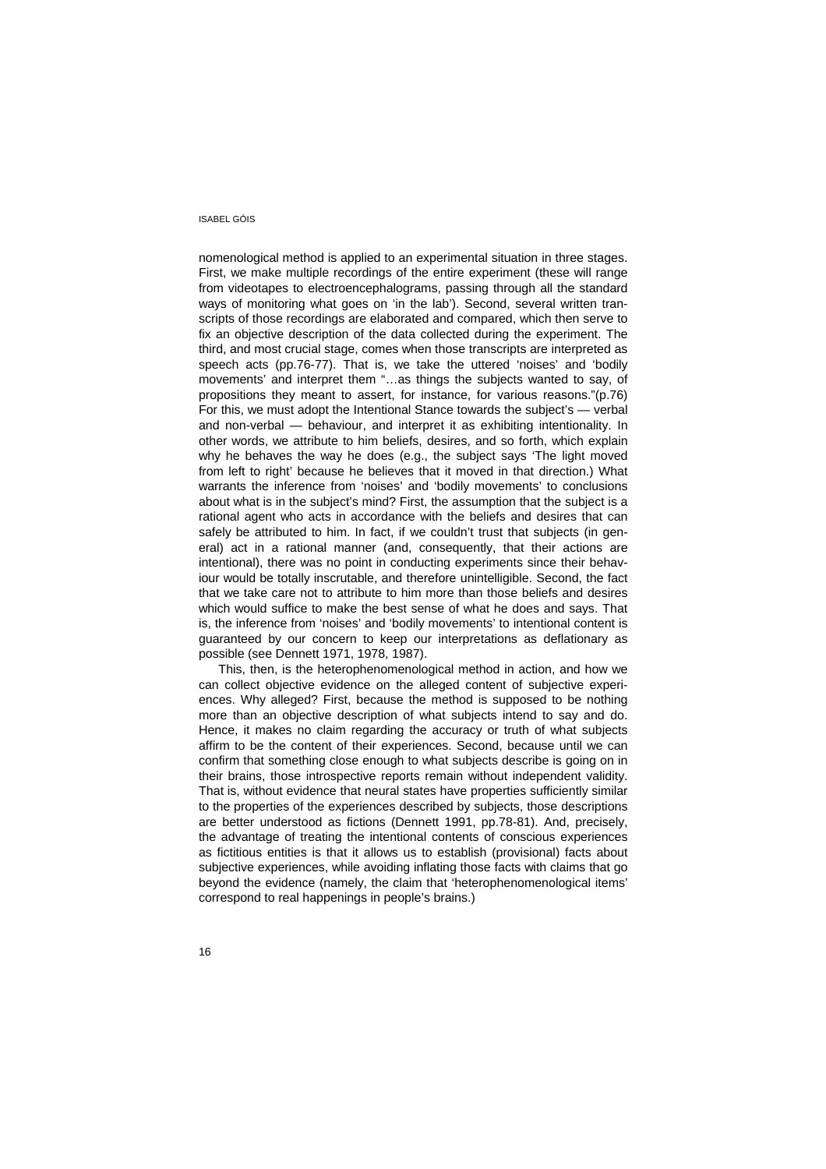nomenological method is applied to an experimental situation in three stages. First, we make multiple recordings of the entire experiment (these will range from videotapes to electroencephalograms, passing through all the standard ways of monitoring what goes on 'in the lab'). Second, several written transcripts of those recordings are elaborated and compared, which then serve to fix an objective description of the data collected during the experiment. The third, and most crucial stage, comes when those transcripts are interpreted as speech acts (pp.76-77). That is, we take the uttered 'noises' and 'bodily movements' and interpret them "…as things the subjects wanted to say, of propositions they meant to assert, for instance, for various reasons."(p.76) For this, we must adopt the Intentional Stance towards the subject's — verbal and non-verbal — behaviour, and interpret it as exhibiting intentionality. In other words, we attribute to him beliefs, desires, and so forth, which explain why he behaves the way he does (e.g., the subject says 'The light moved from left to right' because he believes that it moved in that direction.) What warrants the inference from 'noises' and 'bodily movements' to conclusions about what is in the subject's mind? First, the assumption that the subject is a rational agent who acts in accordance with the beliefs and desires that can safely be attributed to him. In fact, if we couldn't trust that subjects (in general) act in a rational manner (and, consequently, that their actions are intentional), there was no point in conducting experiments since their behaviour would be totally inscrutable, and therefore unintelligible. Second, the fact that we take care not to attribute to him more than those beliefs and desires which would suffice to make the best sense of what he does and says. That is, the inference from 'noises' and 'bodily movements' to intentional content is guaranteed by our concern to keep our interpretations as deflationary as possible (see Dennett 1971, 1978, 1987).

This, then, is the heterophenomenological method in action, and how we can collect objective evidence on the alleged content of subjective experiences. Why alleged? First, because the method is supposed to be nothing more than an objective description of what subjects intend to say and do. Hence, it makes no claim regarding the accuracy or truth of what subjects affirm to be the content of their experiences. Second, because until we can confirm that something close enough to what subjects describe is going on in their brains, those introspective reports remain without independent validity. That is, without evidence that neural states have properties sufficiently similar to the properties of the experiences described by subjects, those descriptions are better understood as fictions (Dennett 1991, pp.78-81). And, precisely, the advantage of treating the intentional contents of conscious experiences as fictitious entities is that it allows us to establish (provisional) facts about subjective experiences, while avoiding inflating those facts with claims that go beyond the evidence (namely, the claim that 'heterophenomenological items' correspond to real happenings in people's brains.)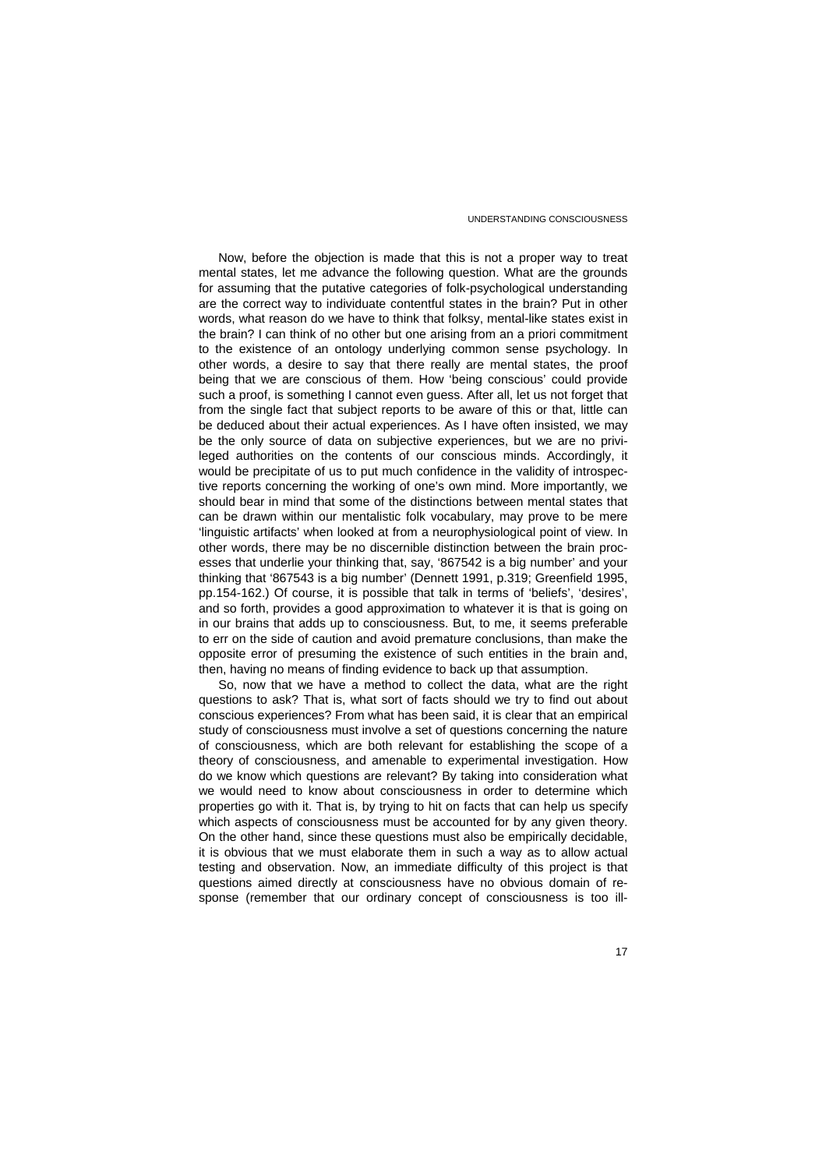Now, before the objection is made that this is not a proper way to treat mental states, let me advance the following question. What are the grounds for assuming that the putative categories of folk-psychological understanding are the correct way to individuate contentful states in the brain? Put in other words, what reason do we have to think that folksy, mental-like states exist in the brain? I can think of no other but one arising from an a priori commitment to the existence of an ontology underlying common sense psychology. In other words, a desire to say that there really are mental states, the proof being that we are conscious of them. How 'being conscious' could provide such a proof, is something I cannot even guess. After all, let us not forget that from the single fact that subject reports to be aware of this or that, little can be deduced about their actual experiences. As I have often insisted, we may be the only source of data on subjective experiences, but we are no privileged authorities on the contents of our conscious minds. Accordingly, it would be precipitate of us to put much confidence in the validity of introspective reports concerning the working of one's own mind. More importantly, we should bear in mind that some of the distinctions between mental states that can be drawn within our mentalistic folk vocabulary, may prove to be mere 'linguistic artifacts' when looked at from a neurophysiological point of view. In other words, there may be no discernible distinction between the brain processes that underlie your thinking that, say, '867542 is a big number' and your thinking that '867543 is a big number' (Dennett 1991, p.319; Greenfield 1995, pp.154-162.) Of course, it is possible that talk in terms of 'beliefs', 'desires', and so forth, provides a good approximation to whatever it is that is going on in our brains that adds up to consciousness. But, to me, it seems preferable to err on the side of caution and avoid premature conclusions, than make the opposite error of presuming the existence of such entities in the brain and, then, having no means of finding evidence to back up that assumption.

So, now that we have a method to collect the data, what are the right questions to ask? That is, what sort of facts should we try to find out about conscious experiences? From what has been said, it is clear that an empirical study of consciousness must involve a set of questions concerning the nature of consciousness, which are both relevant for establishing the scope of a theory of consciousness, and amenable to experimental investigation. How do we know which questions are relevant? By taking into consideration what we would need to know about consciousness in order to determine which properties go with it. That is, by trying to hit on facts that can help us specify which aspects of consciousness must be accounted for by any given theory. On the other hand, since these questions must also be empirically decidable, it is obvious that we must elaborate them in such a way as to allow actual testing and observation. Now, an immediate difficulty of this project is that questions aimed directly at consciousness have no obvious domain of response (remember that our ordinary concept of consciousness is too ill-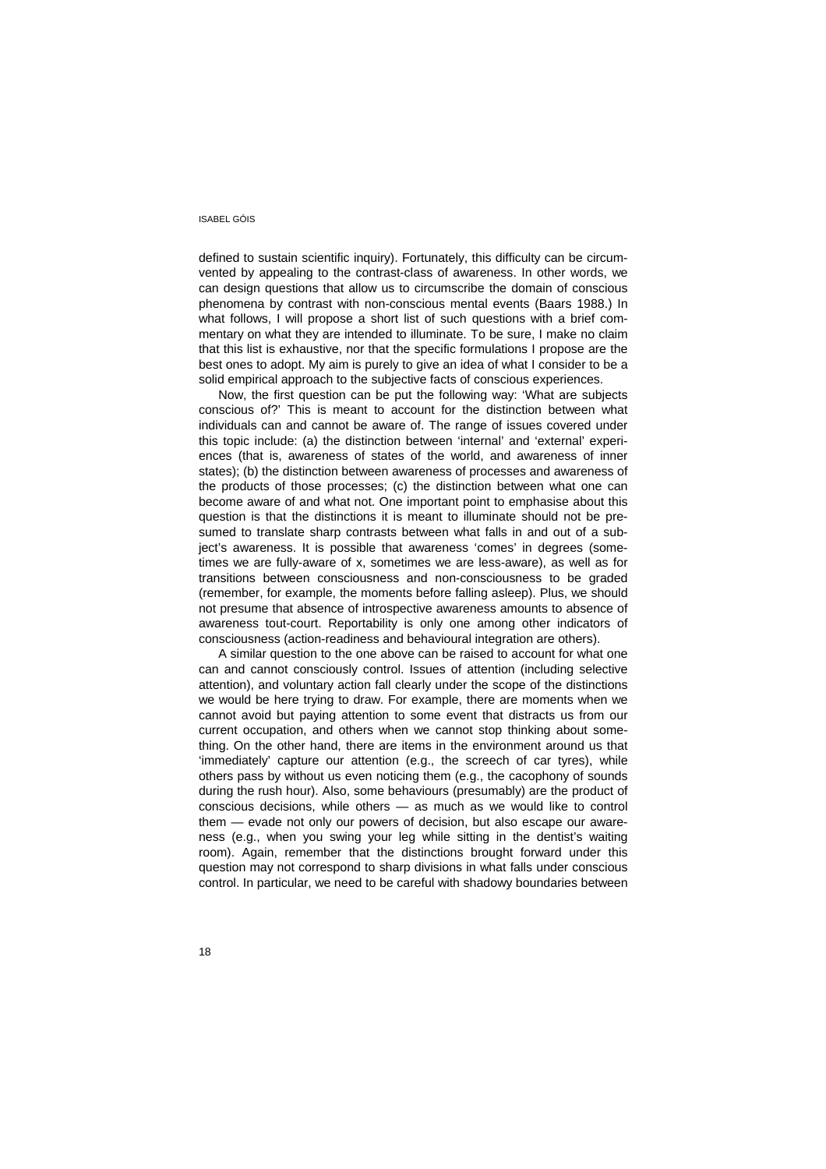defined to sustain scientific inquiry). Fortunately, this difficulty can be circumvented by appealing to the contrast-class of awareness. In other words, we can design questions that allow us to circumscribe the domain of conscious phenomena by contrast with non-conscious mental events (Baars 1988.) In what follows, I will propose a short list of such questions with a brief commentary on what they are intended to illuminate. To be sure, I make no claim that this list is exhaustive, nor that the specific formulations I propose are the best ones to adopt. My aim is purely to give an idea of what I consider to be a solid empirical approach to the subjective facts of conscious experiences.

Now, the first question can be put the following way: 'What are subjects conscious of?' This is meant to account for the distinction between what individuals can and cannot be aware of. The range of issues covered under this topic include: (a) the distinction between 'internal' and 'external' experiences (that is, awareness of states of the world, and awareness of inner states); (b) the distinction between awareness of processes and awareness of the products of those processes; (c) the distinction between what one can become aware of and what not. One important point to emphasise about this question is that the distinctions it is meant to illuminate should not be presumed to translate sharp contrasts between what falls in and out of a subject's awareness. It is possible that awareness 'comes' in degrees (sometimes we are fully-aware of x, sometimes we are less-aware), as well as for transitions between consciousness and non-consciousness to be graded (remember, for example, the moments before falling asleep). Plus, we should not presume that absence of introspective awareness amounts to absence of awareness tout-court. Reportability is only one among other indicators of consciousness (action-readiness and behavioural integration are others).

A similar question to the one above can be raised to account for what one can and cannot consciously control. Issues of attention (including selective attention), and voluntary action fall clearly under the scope of the distinctions we would be here trying to draw. For example, there are moments when we cannot avoid but paying attention to some event that distracts us from our current occupation, and others when we cannot stop thinking about something. On the other hand, there are items in the environment around us that 'immediately' capture our attention (e.g., the screech of car tyres), while others pass by without us even noticing them (e.g., the cacophony of sounds during the rush hour). Also, some behaviours (presumably) are the product of conscious decisions, while others — as much as we would like to control them — evade not only our powers of decision, but also escape our awareness (e.g., when you swing your leg while sitting in the dentist's waiting room). Again, remember that the distinctions brought forward under this question may not correspond to sharp divisions in what falls under conscious control. In particular, we need to be careful with shadowy boundaries between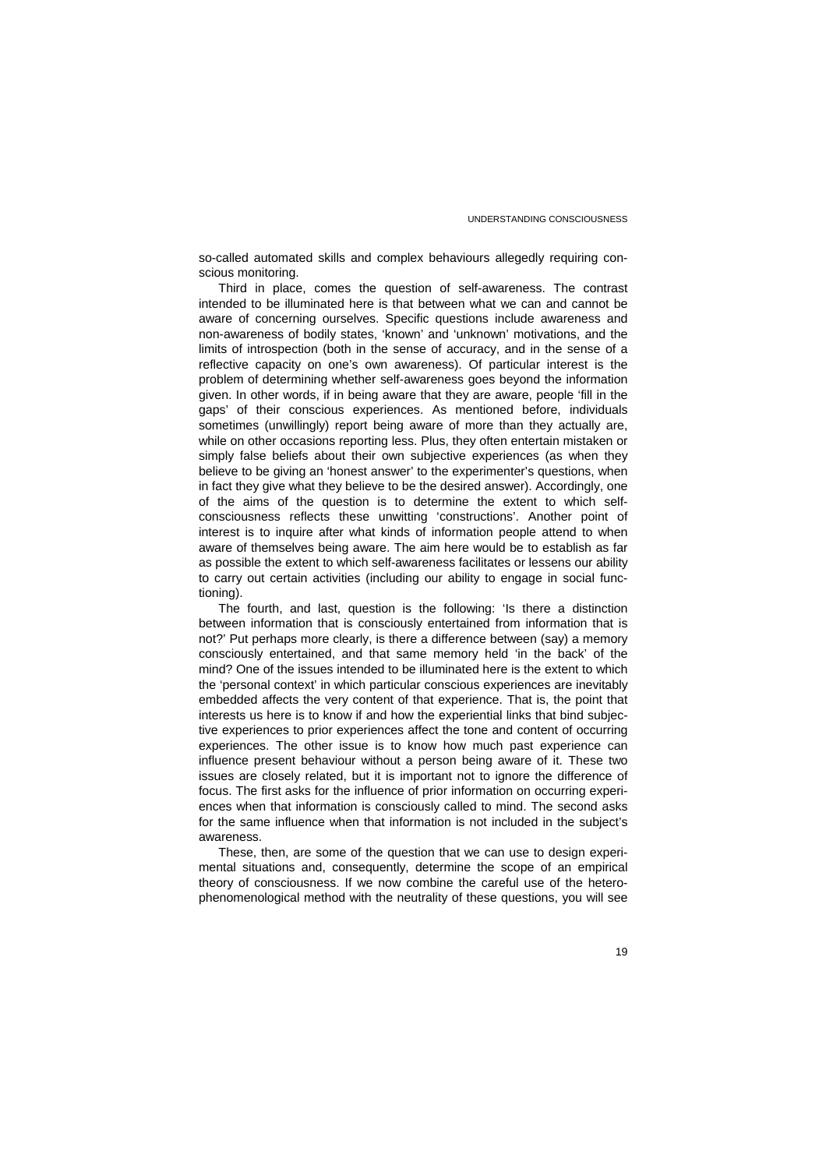so-called automated skills and complex behaviours allegedly requiring conscious monitoring.

Third in place, comes the question of self-awareness. The contrast intended to be illuminated here is that between what we can and cannot be aware of concerning ourselves. Specific questions include awareness and non-awareness of bodily states, 'known' and 'unknown' motivations, and the limits of introspection (both in the sense of accuracy, and in the sense of a reflective capacity on one's own awareness). Of particular interest is the problem of determining whether self-awareness goes beyond the information given. In other words, if in being aware that they are aware, people 'fill in the gaps' of their conscious experiences. As mentioned before, individuals sometimes (unwillingly) report being aware of more than they actually are, while on other occasions reporting less. Plus, they often entertain mistaken or simply false beliefs about their own subjective experiences (as when they believe to be giving an 'honest answer' to the experimenter's questions, when in fact they give what they believe to be the desired answer). Accordingly, one of the aims of the question is to determine the extent to which selfconsciousness reflects these unwitting 'constructions'. Another point of interest is to inquire after what kinds of information people attend to when aware of themselves being aware. The aim here would be to establish as far as possible the extent to which self-awareness facilitates or lessens our ability to carry out certain activities (including our ability to engage in social functioning).

The fourth, and last, question is the following: 'Is there a distinction between information that is consciously entertained from information that is not?' Put perhaps more clearly, is there a difference between (say) a memory consciously entertained, and that same memory held 'in the back' of the mind? One of the issues intended to be illuminated here is the extent to which the 'personal context' in which particular conscious experiences are inevitably embedded affects the very content of that experience. That is, the point that interests us here is to know if and how the experiential links that bind subjective experiences to prior experiences affect the tone and content of occurring experiences. The other issue is to know how much past experience can influence present behaviour without a person being aware of it. These two issues are closely related, but it is important not to ignore the difference of focus. The first asks for the influence of prior information on occurring experiences when that information is consciously called to mind. The second asks for the same influence when that information is not included in the subject's awareness.

These, then, are some of the question that we can use to design experimental situations and, consequently, determine the scope of an empirical theory of consciousness. If we now combine the careful use of the heterophenomenological method with the neutrality of these questions, you will see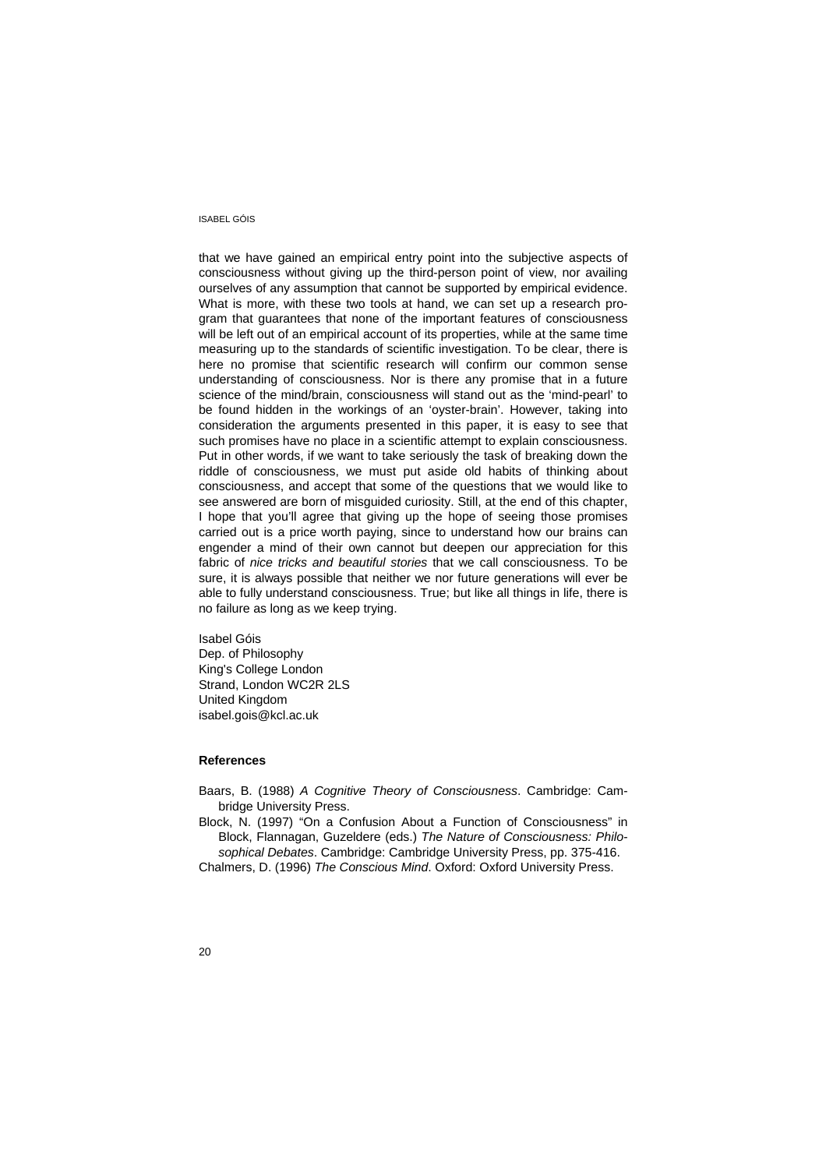that we have gained an empirical entry point into the subjective aspects of consciousness without giving up the third-person point of view, nor availing ourselves of any assumption that cannot be supported by empirical evidence. What is more, with these two tools at hand, we can set up a research program that guarantees that none of the important features of consciousness will be left out of an empirical account of its properties, while at the same time measuring up to the standards of scientific investigation. To be clear, there is here no promise that scientific research will confirm our common sense understanding of consciousness. Nor is there any promise that in a future science of the mind/brain, consciousness will stand out as the 'mind-pearl' to be found hidden in the workings of an 'oyster-brain'. However, taking into consideration the arguments presented in this paper, it is easy to see that such promises have no place in a scientific attempt to explain consciousness. Put in other words, if we want to take seriously the task of breaking down the riddle of consciousness, we must put aside old habits of thinking about consciousness, and accept that some of the questions that we would like to see answered are born of misguided curiosity. Still, at the end of this chapter, I hope that you'll agree that giving up the hope of seeing those promises carried out is a price worth paying, since to understand how our brains can engender a mind of their own cannot but deepen our appreciation for this fabric of *nice tricks and beautiful stories* that we call consciousness. To be sure, it is always possible that neither we nor future generations will ever be able to fully understand consciousness. True; but like all things in life, there is no failure as long as we keep trying.

Isabel Góis Dep. of Philosophy King's College London Strand, London WC2R 2LS United Kingdom isabel.gois@kcl.ac.uk

## **References**

Baars, B. (1988) *A Cognitive Theory of Consciousness*. Cambridge: Cambridge University Press.

Block, N. (1997) "On a Confusion About a Function of Consciousness" in Block, Flannagan, Guzeldere (eds.) *The Nature of Consciousness: Philosophical Debates*. Cambridge: Cambridge University Press, pp. 375-416.

Chalmers, D. (1996) *The Conscious Mind*. Oxford: Oxford University Press.